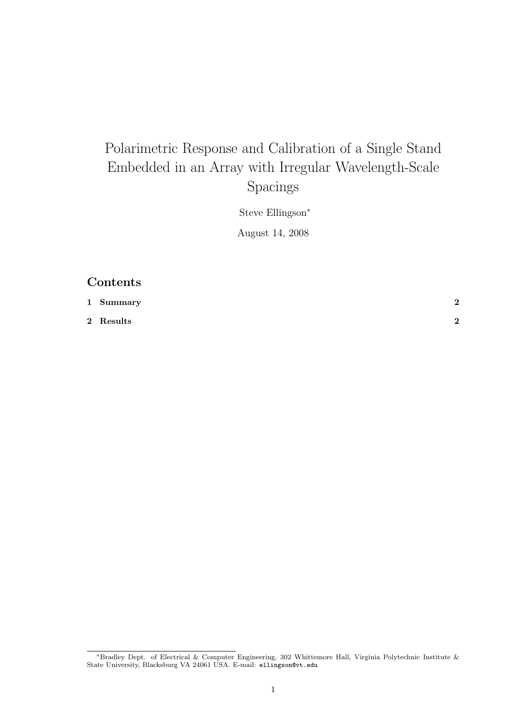# Polarimetric Response and Calibration of a Single Stand Embedded in an Array with Irregular Wavelength-Scale Spacings

Steve Ellingson<sup>∗</sup>

August 14, 2008

### Contents

| 1 Summary | ച |
|-----------|---|
| 2 Results | ົ |

<sup>∗</sup>Bradley Dept. of Electrical & Computer Engineering, 302 Whittemore Hall, Virginia Polytechnic Institute & State University, Blacksburg VA 24061 USA. E-mail: ellingson@vt.edu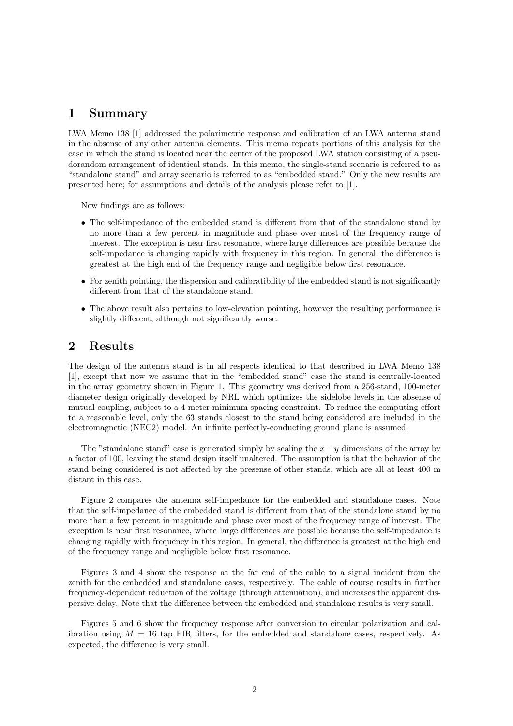#### 1 Summary

LWA Memo 138 [1] addressed the polarimetric response and calibration of an LWA antenna stand in the absense of any other antenna elements. This memo repeats portions of this analysis for the case in which the stand is located near the center of the proposed LWA station consisting of a pseudorandom arrangement of identical stands. In this memo, the single-stand scenario is referred to as "standalone stand" and array scenario is referred to as "embedded stand." Only the new results are presented here; for assumptions and details of the analysis please refer to [1].

New findings are as follows:

- The self-impedance of the embedded stand is different from that of the standalone stand by no more than a few percent in magnitude and phase over most of the frequency range of interest. The exception is near first resonance, where large differences are possible because the self-impedance is changing rapidly with frequency in this region. In general, the difference is greatest at the high end of the frequency range and negligible below first resonance.
- For zenith pointing, the dispersion and calibratibility of the embedded stand is not significantly different from that of the standalone stand.
- The above result also pertains to low-elevation pointing, however the resulting performance is slightly different, although not significantly worse.

#### 2 Results

The design of the antenna stand is in all respects identical to that described in LWA Memo 138 [1], except that now we assume that in the "embedded stand" case the stand is centrally-located in the array geometry shown in Figure 1. This geometry was derived from a 256-stand, 100-meter diameter design originally developed by NRL which optimizes the sidelobe levels in the absense of mutual coupling, subject to a 4-meter minimum spacing constraint. To reduce the computing effort to a reasonable level, only the 63 stands closest to the stand being considered are included in the electromagnetic (NEC2) model. An infinite perfectly-conducting ground plane is assumed.

The "standalone stand" case is generated simply by scaling the  $x - y$  dimensions of the array by a factor of 100, leaving the stand design itself unaltered. The assumption is that the behavior of the stand being considered is not affected by the presense of other stands, which are all at least 400 m distant in this case.

Figure 2 compares the antenna self-impedance for the embedded and standalone cases. Note that the self-impedance of the embedded stand is different from that of the standalone stand by no more than a few percent in magnitude and phase over most of the frequency range of interest. The exception is near first resonance, where large differences are possible because the self-impedance is changing rapidly with frequency in this region. In general, the difference is greatest at the high end of the frequency range and negligible below first resonance.

Figures 3 and 4 show the response at the far end of the cable to a signal incident from the zenith for the embedded and standalone cases, respectively. The cable of course results in further frequency-dependent reduction of the voltage (through attenuation), and increases the apparent dispersive delay. Note that the difference between the embedded and standalone results is very small.

Figures 5 and 6 show the frequency response after conversion to circular polarization and calibration using  $M = 16$  tap FIR filters, for the embedded and standalone cases, respectively. As expected, the difference is very small.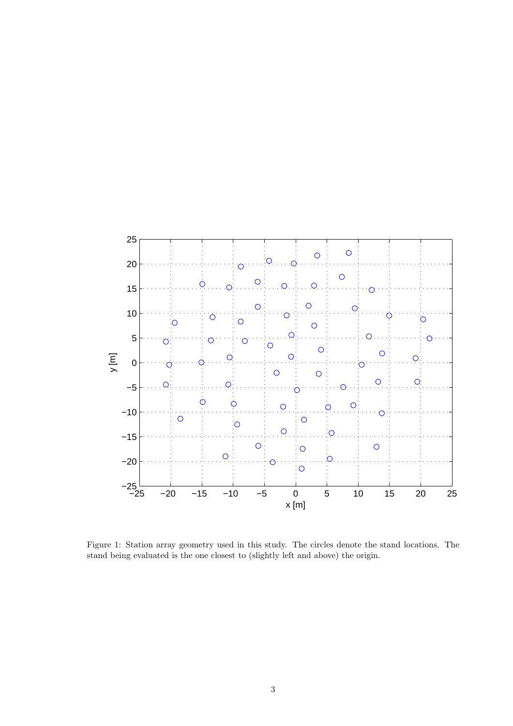

Figure 1: Station array geometry used in this study. The circles denote the stand locations. The stand being evaluated is the one closest to (slightly left and above) the origin.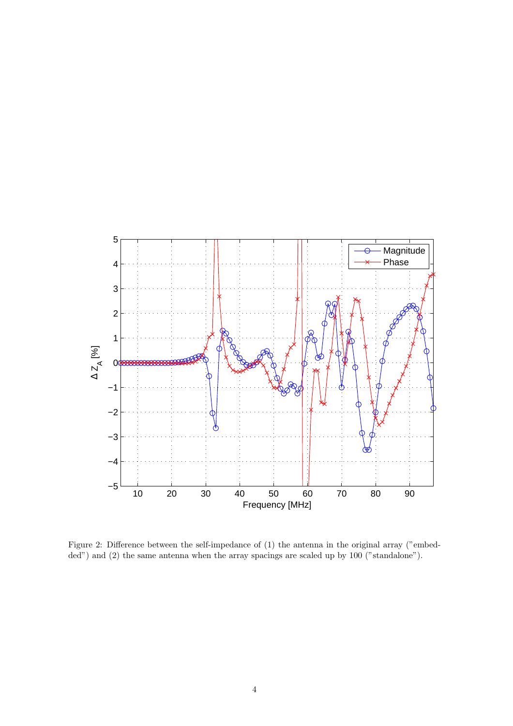

Figure 2: Difference between the self-impedance of (1) the antenna in the original array ("embedded") and (2) the same antenna when the array spacings are scaled up by 100 ("standalone").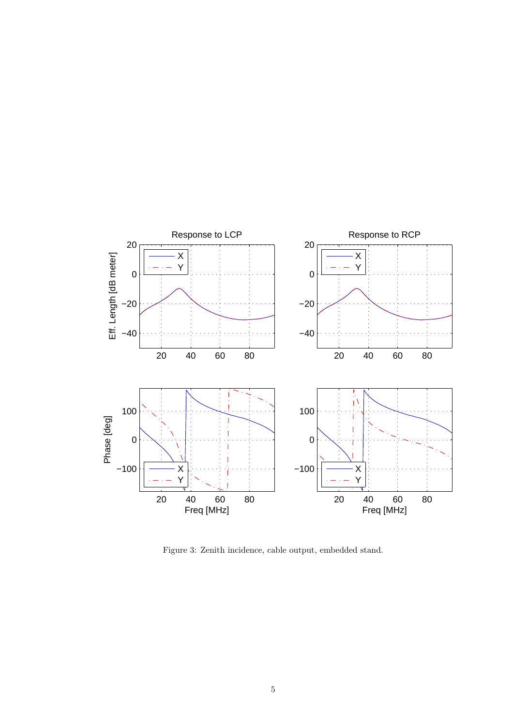

Figure 3: Zenith incidence, cable output, embedded stand.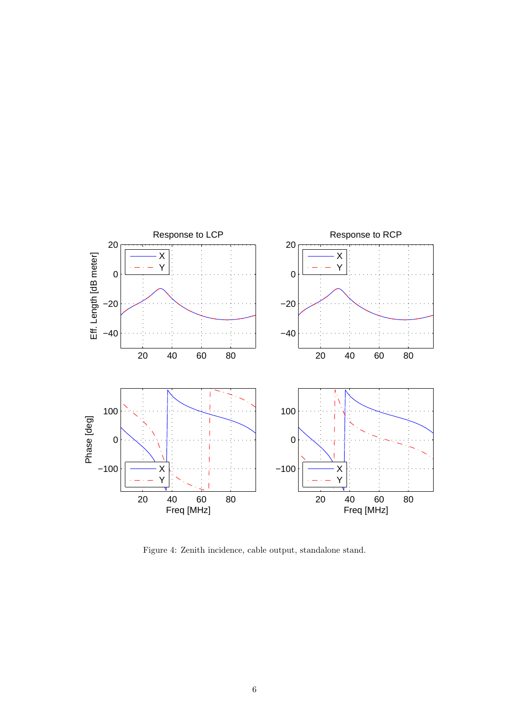

Figure 4: Zenith incidence, cable output, standalone stand.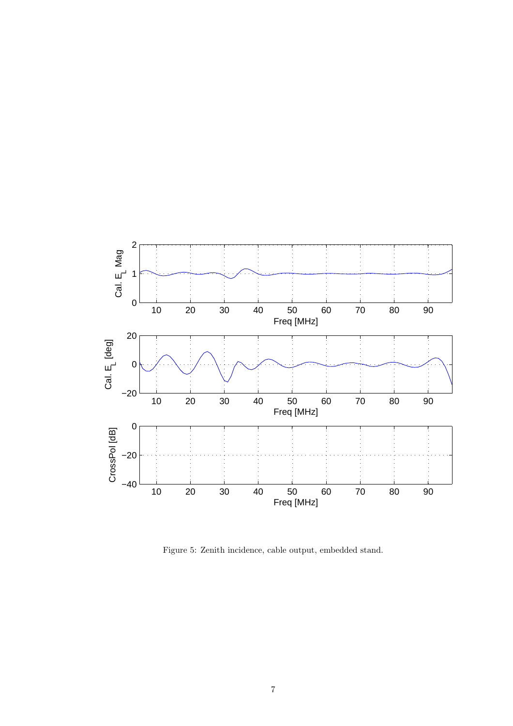

Figure 5: Zenith incidence, cable output, embedded stand.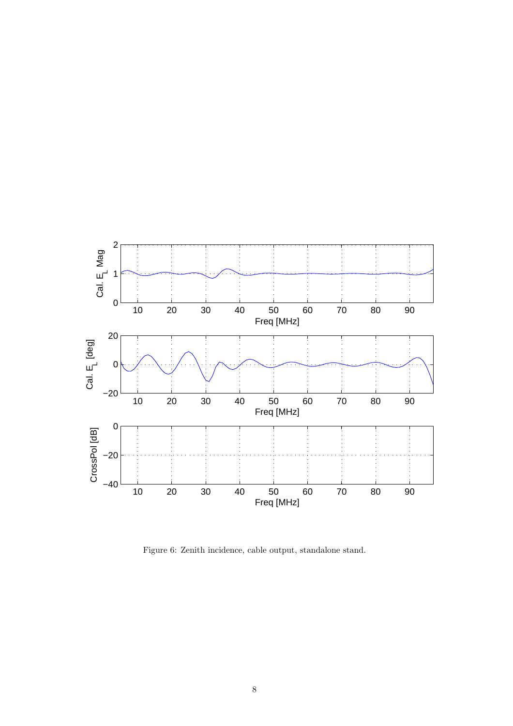

Figure 6: Zenith incidence, cable output, standalone stand.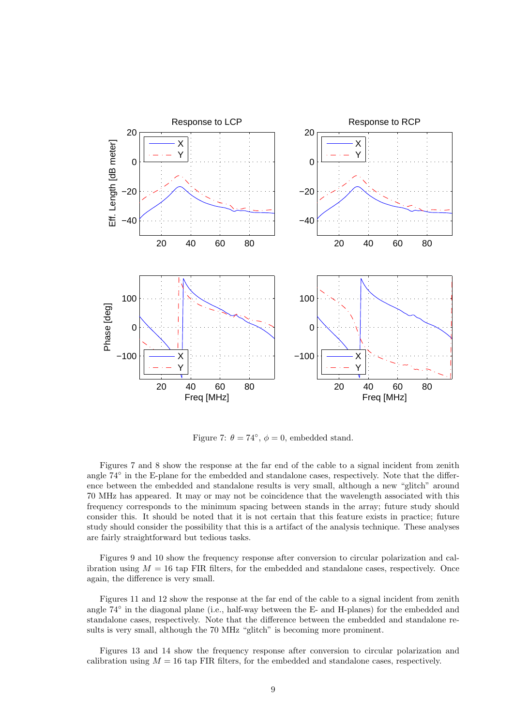

Figure 7:  $\theta = 74^{\circ}$ ,  $\phi = 0$ , embedded stand.

Figures 7 and 8 show the response at the far end of the cable to a signal incident from zenith angle 74° in the E-plane for the embedded and standalone cases, respectively. Note that the difference between the embedded and standalone results is very small, although a new "glitch" around 70 MHz has appeared. It may or may not be coincidence that the wavelength associated with this frequency corresponds to the minimum spacing between stands in the array; future study should consider this. It should be noted that it is not certain that this feature exists in practice; future study should consider the possibility that this is a artifact of the analysis technique. These analyses are fairly straightforward but tedious tasks.

Figures 9 and 10 show the frequency response after conversion to circular polarization and calibration using  $M = 16$  tap FIR filters, for the embedded and standalone cases, respectively. Once again, the difference is very small.

Figures 11 and 12 show the response at the far end of the cable to a signal incident from zenith angle  $74°$  in the diagonal plane (i.e., half-way between the E- and H-planes) for the embedded and standalone cases, respectively. Note that the difference between the embedded and standalone results is very small, although the 70 MHz "glitch" is becoming more prominent.

Figures 13 and 14 show the frequency response after conversion to circular polarization and calibration using  $M = 16$  tap FIR filters, for the embedded and standalone cases, respectively.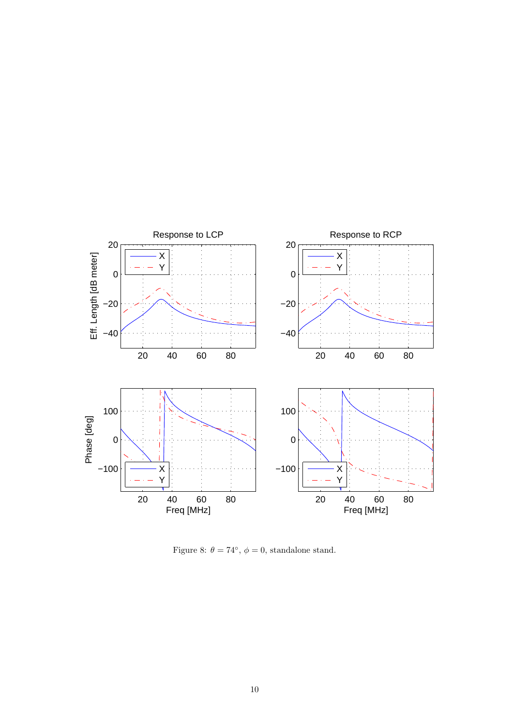

Figure 8:  $\theta = 74^{\circ}$ ,  $\phi = 0$ , standalone stand.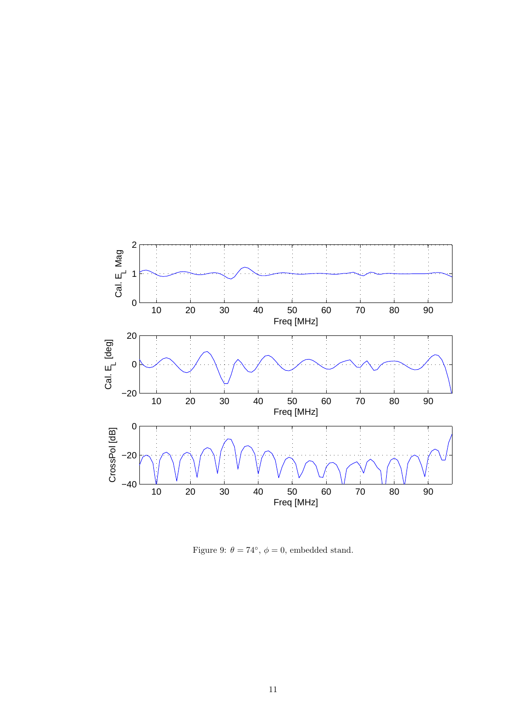

Figure 9:  $\theta = 74^{\circ}$ ,  $\phi = 0$ , embedded stand.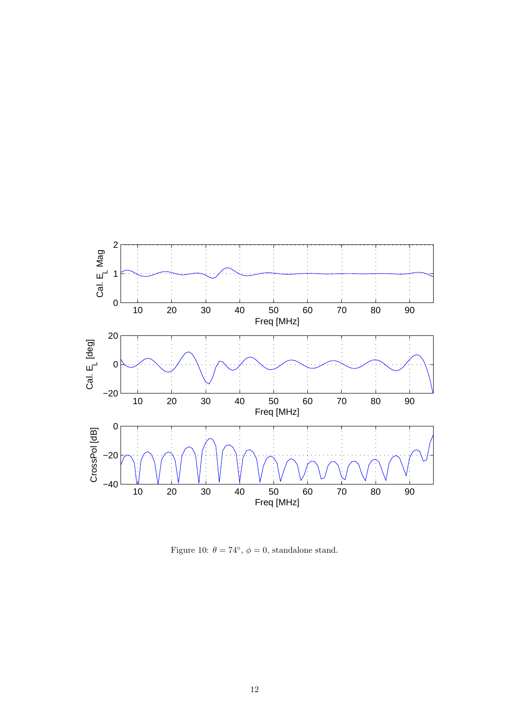

Figure 10:  $\theta = 74^{\circ}$ ,  $\phi = 0$ , standalone stand.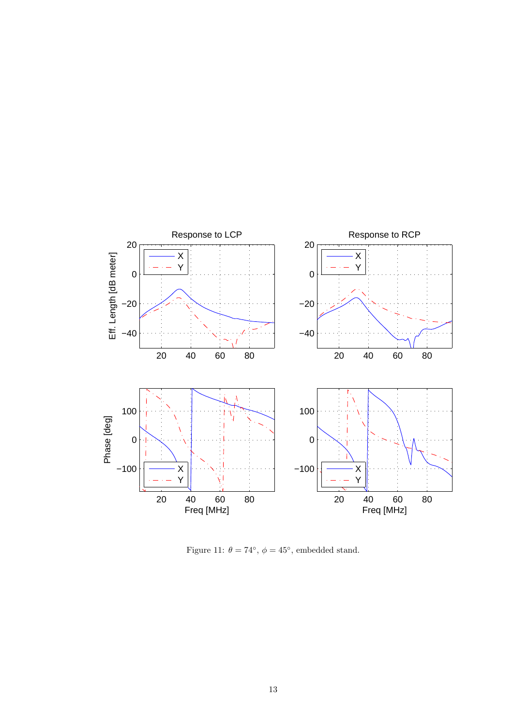

Figure 11:  $\theta = 74^{\circ}$ ,  $\phi = 45^{\circ}$ , embedded stand.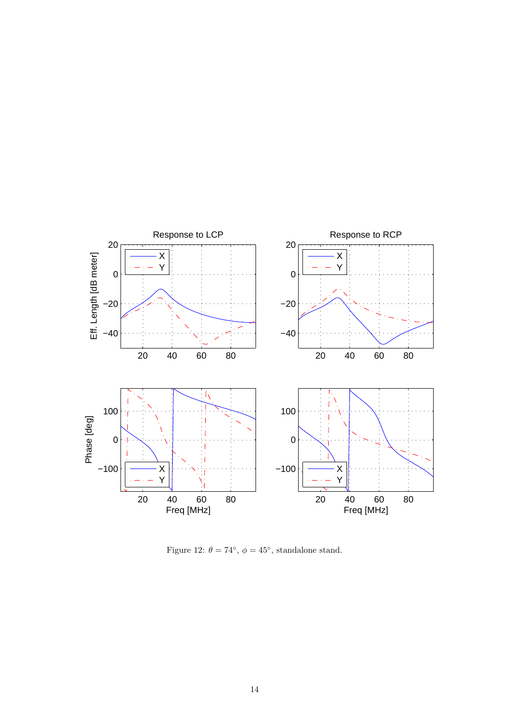

Figure 12:  $\theta = 74^{\circ}$ ,  $\phi = 45^{\circ}$ , standalone stand.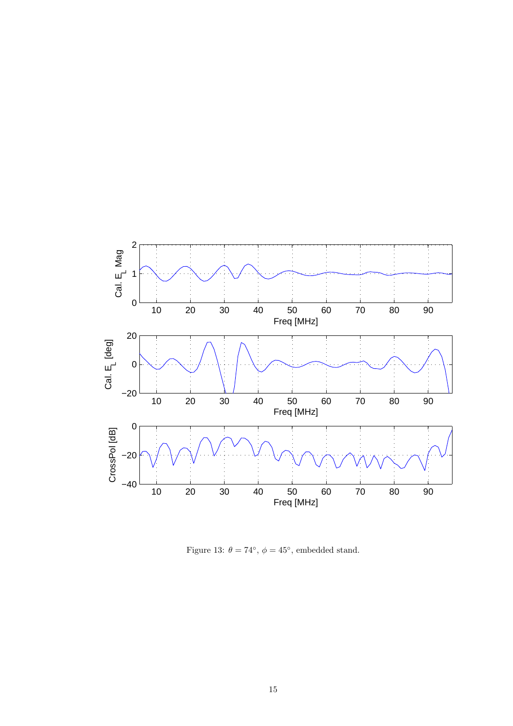

Figure 13:  $\theta = 74^{\circ}$ ,  $\phi = 45^{\circ}$ , embedded stand.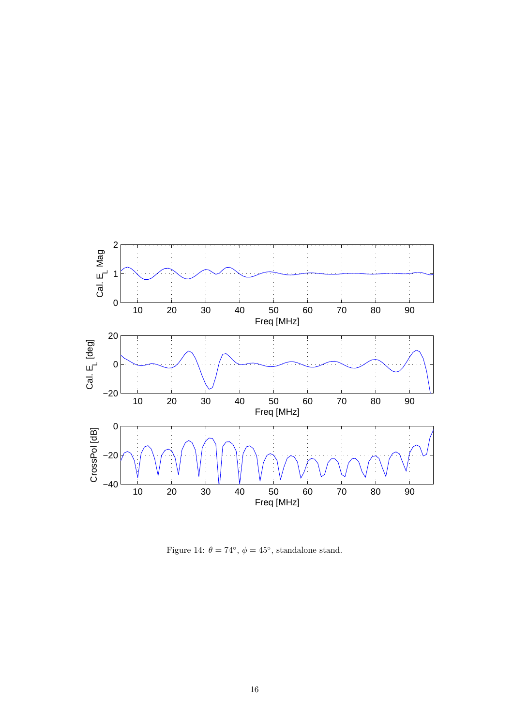

Figure 14:  $\theta = 74^{\circ}$ ,  $\phi = 45^{\circ}$ , standalone stand.